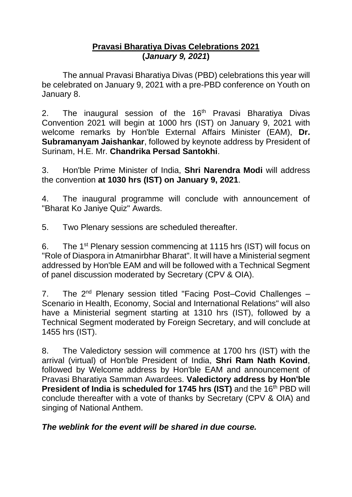## **Pravasi Bharatiya Divas Celebrations 2021 (***January 9, 2021***)**

The annual Pravasi Bharatiya Divas (PBD) celebrations this year will be celebrated on January 9, 2021 with a pre-PBD conference on Youth on January 8.

2. The inaugural session of the  $16<sup>th</sup>$  Pravasi Bharatiya Divas Convention 2021 will begin at 1000 hrs (IST) on January 9, 2021 with welcome remarks by Hon'ble External Affairs Minister (EAM), **Dr. Subramanyam Jaishankar**, followed by keynote address by President of Surinam, H.E. Mr. **Chandrika Persad Santokhi**.

3. Hon'ble Prime Minister of India, **Shri Narendra Modi** will address the convention **at 1030 hrs (IST) on January 9, 2021**.

4. The inaugural programme will conclude with announcement of "Bharat Ko Janiye Quiz" Awards.

5. Two Plenary sessions are scheduled thereafter.

6. The 1st Plenary session commencing at 1115 hrs (IST) will focus on "Role of Diaspora in Atmanirbhar Bharat". It will have a Ministerial segment addressed by Hon'ble EAM and will be followed with a Technical Segment of panel discussion moderated by Secretary (CPV & OIA).

7. The  $2^{nd}$  Plenary session titled "Facing Post–Covid Challenges – Scenario in Health, Economy, Social and International Relations" will also have a Ministerial segment starting at 1310 hrs (IST), followed by a Technical Segment moderated by Foreign Secretary, and will conclude at 1455 hrs (IST).

8. The Valedictory session will commence at 1700 hrs (IST) with the arrival (virtual) of Hon'ble President of India, **Shri Ram Nath Kovind**, followed by Welcome address by Hon'ble EAM and announcement of Pravasi Bharatiya Samman Awardees. **Valedictory address by Hon'ble President of India is scheduled for 1745 hrs (IST) and the 16<sup>th</sup> PBD will** conclude thereafter with a vote of thanks by Secretary (CPV & OIA) and singing of National Anthem.

## *The weblink for the event will be shared in due course.*